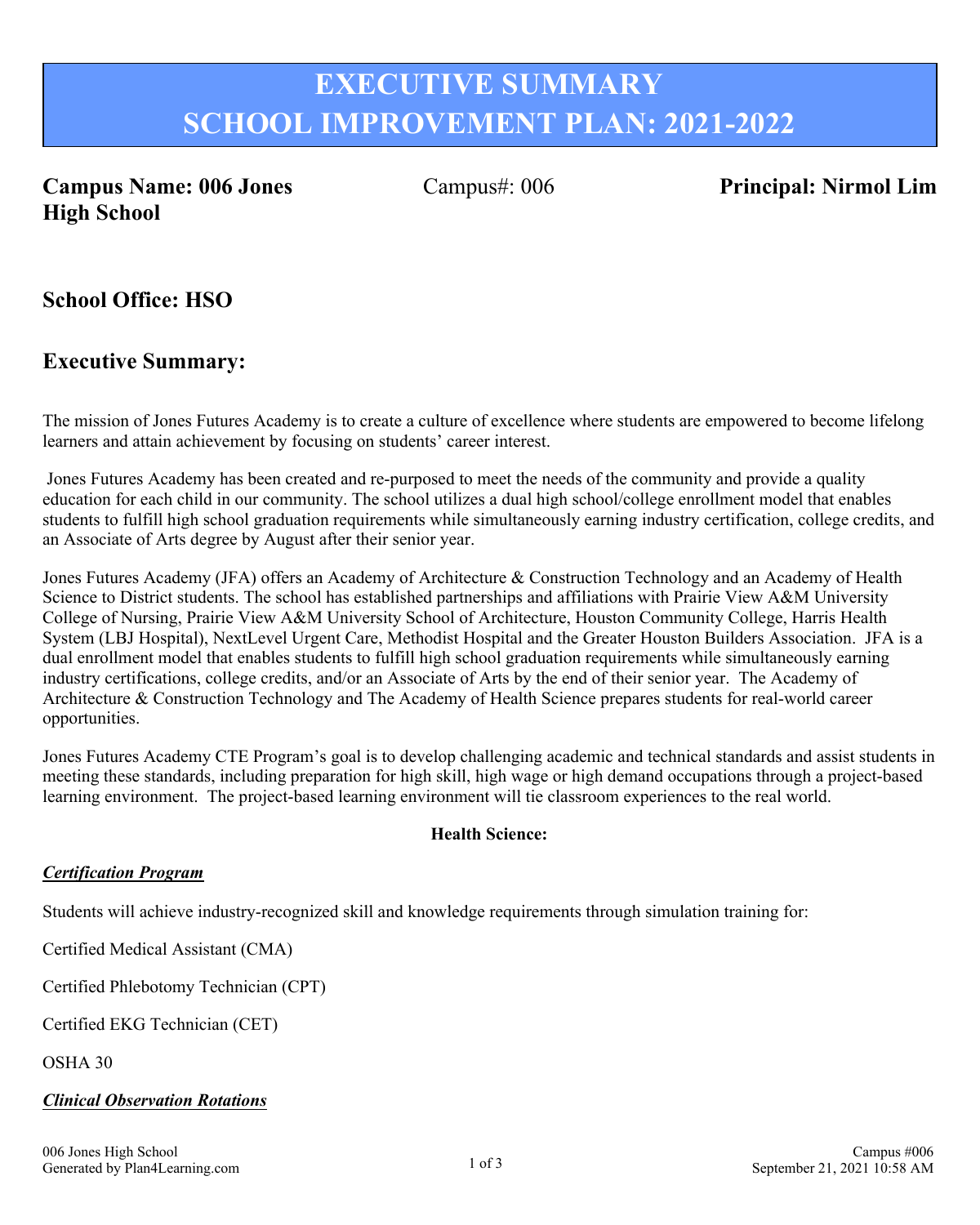# **EXECUTIVE SUMMARY SCHOOL IMPROVEMENT PLAN: 2021-2022**

## **Campus Name: 006 Jones High School**

Campus#: 006 **Principal: Nirmol Lim**

**School Office: HSO**

## **Executive Summary:**

The mission of Jones Futures Academy is to create a culture of excellence where students are empowered to become lifelong learners and attain achievement by focusing on students' career interest.

 Jones Futures Academy has been created and re-purposed to meet the needs of the community and provide a quality education for each child in our community. The school utilizes a dual high school/college enrollment model that enables students to fulfill high school graduation requirements while simultaneously earning industry certification, college credits, and an Associate of Arts degree by August after their senior year.

Jones Futures Academy (JFA) offers an Academy of Architecture & Construction Technology and an Academy of Health Science to District students. The school has established partnerships and affiliations with Prairie View A&M University College of Nursing, Prairie View A&M University School of Architecture, Houston Community College, Harris Health System (LBJ Hospital), NextLevel Urgent Care, Methodist Hospital and the Greater Houston Builders Association. JFA is a dual enrollment model that enables students to fulfill high school graduation requirements while simultaneously earning industry certifications, college credits, and/or an Associate of Arts by the end of their senior year. The Academy of Architecture & Construction Technology and The Academy of Health Science prepares students for real-world career opportunities.

Jones Futures Academy CTE Program's goal is to develop challenging academic and technical standards and assist students in meeting these standards, including preparation for high skill, high wage or high demand occupations through a project-based learning environment. The project-based learning environment will tie classroom experiences to the real world.

#### **Health Science:**

#### *Certification Program*

Students will achieve industry-recognized skill and knowledge requirements through simulation training for:

Certified Medical Assistant (CMA)

Certified Phlebotomy Technician (CPT)

Certified EKG Technician (CET)

OSHA 30

#### *Clinical Observation Rotations*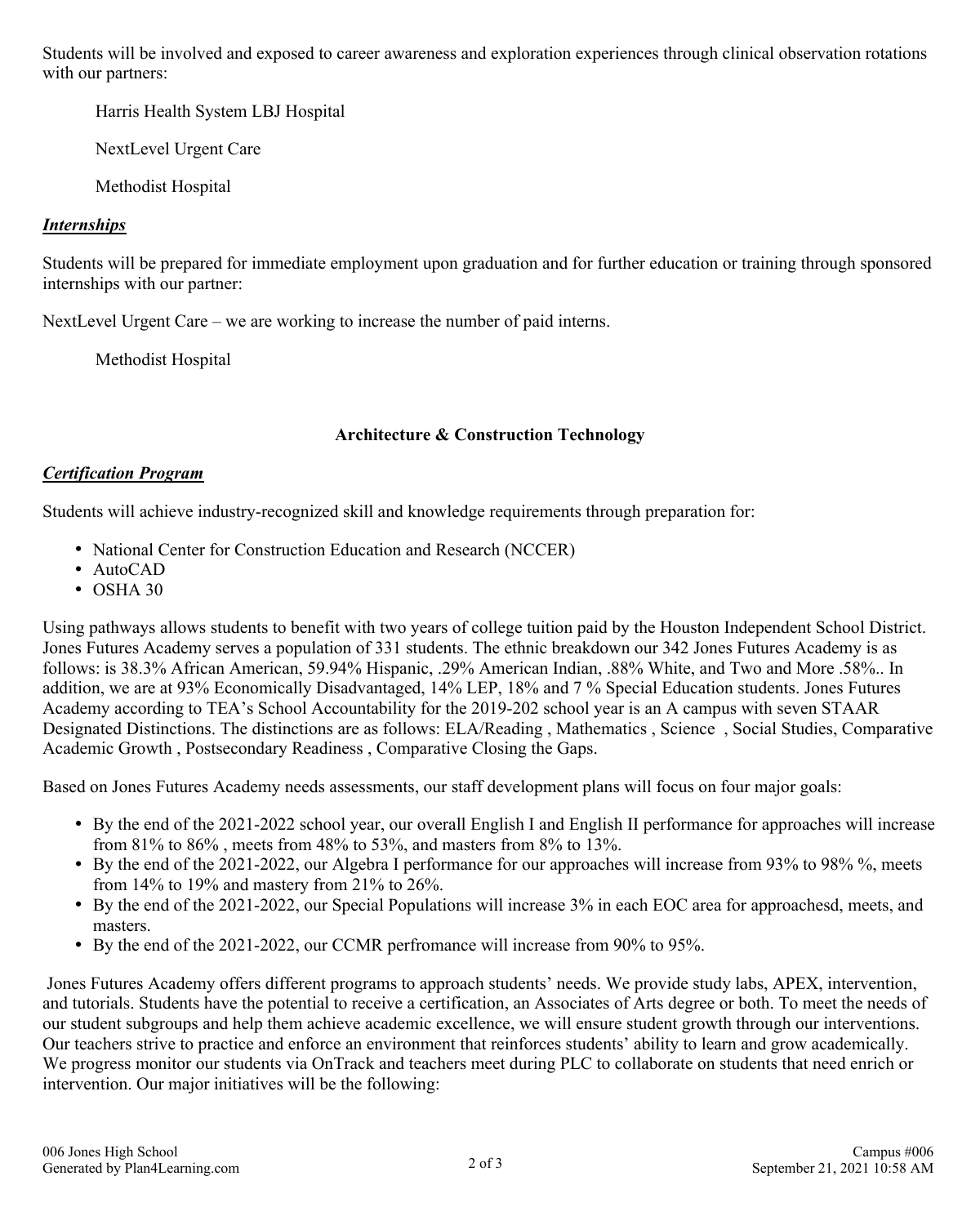Students will be involved and exposed to career awareness and exploration experiences through clinical observation rotations with our partners:

Harris Health System LBJ Hospital

NextLevel Urgent Care

Methodist Hospital

#### *Internships*

Students will be prepared for immediate employment upon graduation and for further education or training through sponsored internships with our partner:

NextLevel Urgent Care – we are working to increase the number of paid interns.

Methodist Hospital

#### **Architecture & Construction Technology**

### *Certification Program*

Students will achieve industry-recognized skill and knowledge requirements through preparation for:

- National Center for Construction Education and Research (NCCER)
- AutoCAD
- OSHA 30

Using pathways allows students to benefit with two years of college tuition paid by the Houston Independent School District. Jones Futures Academy serves a population of 331 students. The ethnic breakdown our 342 Jones Futures Academy is as follows: is 38.3% African American, 59.94% Hispanic, .29% American Indian, .88% White, and Two and More .58%.. In addition, we are at 93% Economically Disadvantaged, 14% LEP, 18% and 7 % Special Education students. Jones Futures Academy according to TEA's School Accountability for the 2019-202 school year is an A campus with seven STAAR Designated Distinctions. The distinctions are as follows: ELA/Reading , Mathematics , Science , Social Studies, Comparative Academic Growth , Postsecondary Readiness , Comparative Closing the Gaps.

Based on Jones Futures Academy needs assessments, our staff development plans will focus on four major goals:

- By the end of the 2021-2022 school year, our overall English I and English II performance for approaches will increase from 81% to 86% , meets from 48% to 53%, and masters from 8% to 13%.
- By the end of the 2021-2022, our Algebra I performance for our approaches will increase from 93% to 98% %, meets from 14% to 19% and mastery from 21% to 26%.
- By the end of the 2021-2022, our Special Populations will increase 3% in each EOC area for approachesd, meets, and masters.
- By the end of the 2021-2022, our CCMR perfromance will increase from 90% to 95%.

 Jones Futures Academy offers different programs to approach students' needs. We provide study labs, APEX, intervention, and tutorials. Students have the potential to receive a certification, an Associates of Arts degree or both. To meet the needs of our student subgroups and help them achieve academic excellence, we will ensure student growth through our interventions. Our teachers strive to practice and enforce an environment that reinforces students' ability to learn and grow academically. We progress monitor our students via OnTrack and teachers meet during PLC to collaborate on students that need enrich or intervention. Our major initiatives will be the following: